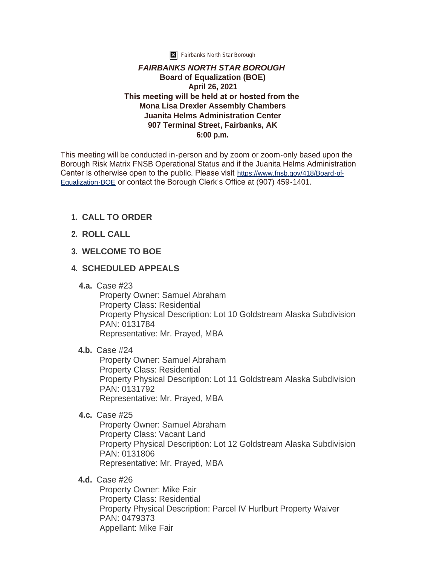

**X** Fairbanks North Star Borough

#### *FAIRBANKS NORTH STAR BOROUGH* **Board of Equalization (BOE) April 26, 2021 This meeting will be held at or hosted from the Mona Lisa Drexler Assembly Chambers Juanita Helms Administration Center 907 Terminal Street, Fairbanks, AK 6:00 p.m.**

This meeting will be conducted in-person and by zoom or zoom-only based upon the Borough Risk Matrix FNSB Operational Status and if the Juanita Helms Administration Center is otherwise open to the public. Please visit [https://www.fnsb.gov/418/Board-of-](https://www.fnsb.gov/418/Board-of-Equalization-BOE)Equalization-BOE or contact the Borough Clerk's Office at (907) 459-1401.

# **CALL TO ORDER 1.**

**ROLL CALL 2.**

# **WELCOME TO BOE 3.**

### **SCHEDULED APPEALS 4.**

Case #23 **4.a.**

Property Owner: Samuel Abraham Property Class: Residential Property Physical Description: Lot 10 Goldstream Alaska Subdivision PAN: 0131784 Representative: Mr. Prayed, MBA

### **4.b.** Case #24

Property Owner: Samuel Abraham Property Class: Residential Property Physical Description: Lot 11 Goldstream Alaska Subdivision PAN: 0131792 Representative: Mr. Prayed, MBA

**4.c.** Case #25

Property Owner: Samuel Abraham Property Class: Vacant Land Property Physical Description: Lot 12 Goldstream Alaska Subdivision PAN: 0131806 Representative: Mr. Prayed, MBA

**4.d.** Case #26

Property Owner: Mike Fair Property Class: Residential Property Physical Description: Parcel IV Hurlburt Property Waiver PAN: 0479373 Appellant: Mike Fair